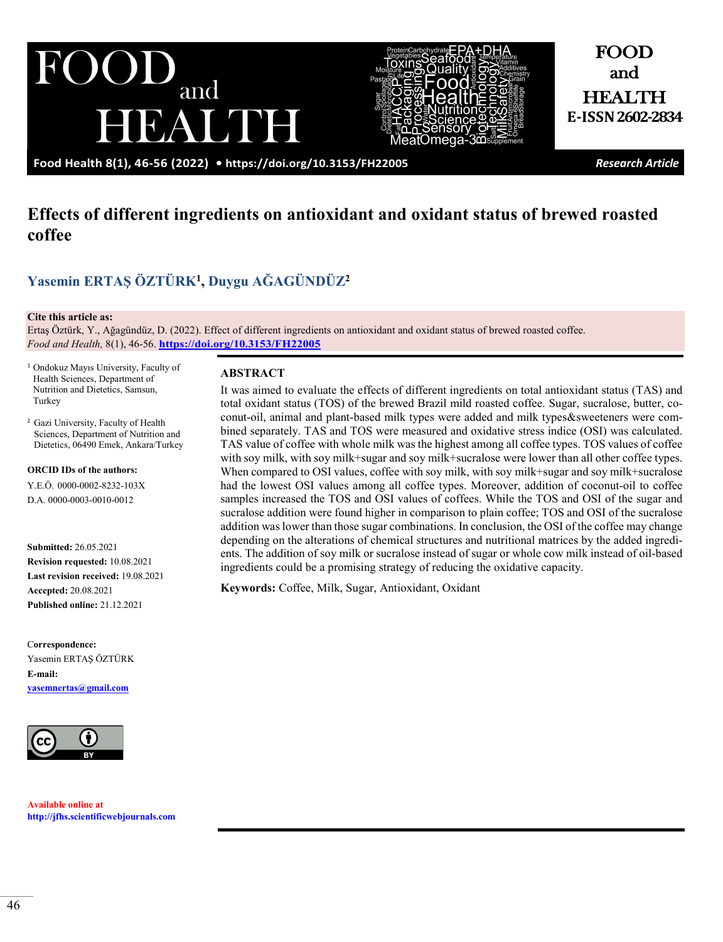JUI and EALINH



and HEALTH **E-ISSN 2602-2834**

FOOD

**Food Health 8(1), 46-56 (2022) •<https://doi.org/10.3153/FH22005>** *Research Article*

# **Effects of different ingredients on antioxidant and oxidant status of brewed roasted coffee**

# **Yase[min ERTAŞ](https://orcid.org/0000-0002-8232-103X) ÖZTÜRK1, [Duygu AĞAGÜNDÜZ](https://orcid.org/0000-0003-0010-0012)<sup>2</sup>**

#### **Cite this article as:**

Ertaş Öztürk, Y., Ağagündüz, D. (2022). Effect of different ingredients on antioxidant and oxidant status of brewed roasted coffee. *Food and Health,* 8(1), 46-56. **<https://doi.org/10.3153/FH22005>**

<sup>1</sup> Ondokuz Mayıs University, Faculty of Health Sciences, Department of Nutrition and Dietetics, Samsun, Turkey

2 Gazi University, Faculty of Health Sciences, Department of Nutrition and Dietetics, 06490 Emek, Ankara/Turkey

**ORCID IDs of the authors:** Y.E.Ö. 0000-0002-8232-103X D.A. 0000-0003-0010-0012

**Submitted:** 26.05.2021 **Revision requested:** 10.08.2021 **Last revision received:** 19.08.2021 **Accepted:** 20.08.2021 **Published online:** 21.12.2021

C**orrespondence:**  Yasemin ERTAŞ ÖZTÜRK **E-mail: [yasemnertas@gmail.com](mailto:yasemnertas@gmail.com)**



**Available online at [http://jfhs.scientificwebjournals.com](http://jfhs.scientificwebjournals.com/)**

## **ABSTRACT**

It was aimed to evaluate the effects of different ingredients on total antioxidant status (TAS) and total oxidant status (TOS) of the brewed Brazil mild roasted coffee. Sugar, sucralose, butter, coconut-oil, animal and plant-based milk types were added and milk types&sweeteners were combined separately. TAS and TOS were measured and oxidative stress indice (OSI) was calculated. TAS value of coffee with whole milk was the highest among all coffee types. TOS values of coffee with soy milk, with soy milk+sugar and soy milk+sucralose were lower than all other coffee types. When compared to OSI values, coffee with soy milk, with soy milk+sugar and soy milk+sucralose had the lowest OSI values among all coffee types. Moreover, addition of coconut-oil to coffee samples increased the TOS and OSI values of coffees. While the TOS and OSI of the sugar and sucralose addition were found higher in comparison to plain coffee; TOS and OSI of the sucralose addition was lower than those sugar combinations. In conclusion, the OSI of the coffee may change depending on the alterations of chemical structures and nutritional matrices by the added ingredients. The addition of soy milk or sucralose instead of sugar or whole cow milk instead of oil-based ingredients could be a promising strategy of reducing the oxidative capacity.

**Keywords:** Coffee, Milk, Sugar, Antioxidant, Oxidant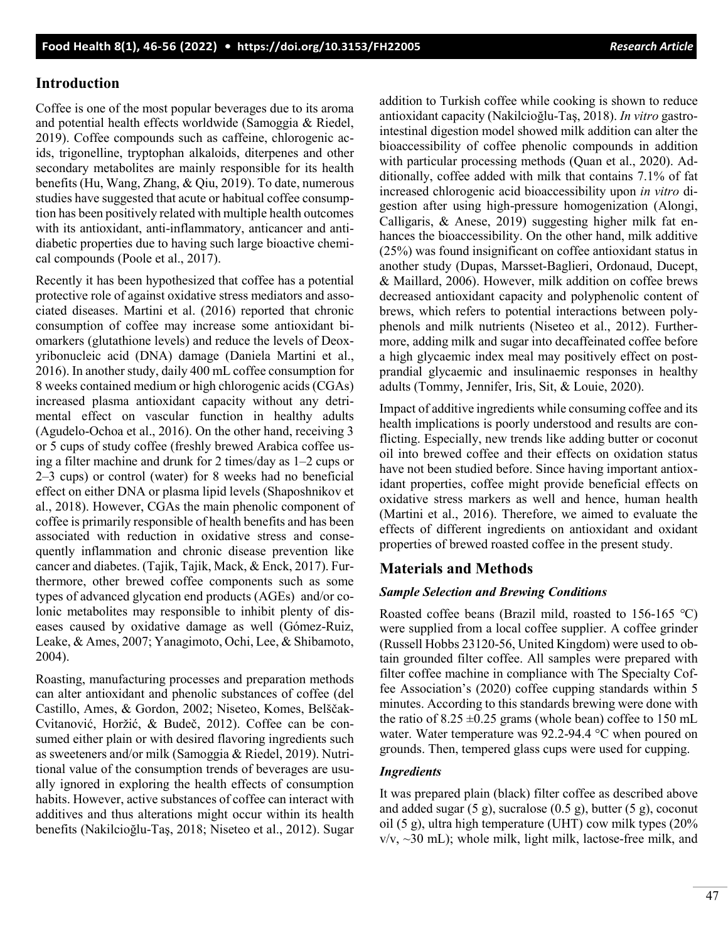## **Introduction**

Coffee is one of the most popular beverages due to its aroma and potential health effects worldwide (Samoggia & Riedel, 2019). Coffee compounds such as caffeine, chlorogenic acids, trigonelline, tryptophan alkaloids, diterpenes and other secondary metabolites are mainly responsible for its health benefits (Hu, Wang, Zhang, & Qiu, 2019). To date, numerous studies have suggested that acute or habitual coffee consumption has been positively related with multiple health outcomes with its antioxidant, anti-inflammatory, anticancer and antidiabetic properties due to having such large bioactive chemical compounds (Poole et al., 2017).

Recently it has been hypothesized that coffee has a potential protective role of against oxidative stress mediators and associated diseases. Martini et al. (2016) reported that chronic consumption of coffee may increase some antioxidant biomarkers (glutathione levels) and reduce the levels of Deoxyribonucleic acid (DNA) damage (Daniela Martini et al., 2016). In another study, daily 400 mL coffee consumption for 8 weeks contained medium or high chlorogenic acids (CGAs) increased plasma antioxidant capacity without any detrimental effect on vascular function in healthy adults (Agudelo-Ochoa et al., 2016). On the other hand, receiving 3 or 5 cups of study coffee (freshly brewed Arabica coffee using a filter machine and drunk for 2 times/day as 1–2 cups or 2–3 cups) or control (water) for 8 weeks had no beneficial effect on either DNA or plasma lipid levels (Shaposhnikov et al., 2018). However, CGAs the main phenolic component of coffee is primarily responsible of health benefits and has been associated with reduction in oxidative stress and consequently inflammation and chronic disease prevention like cancer and diabetes. (Tajik, Tajik, Mack, & Enck, 2017). Furthermore, other brewed coffee components such as some types of advanced glycation end products (AGEs) and/or colonic metabolites may responsible to inhibit plenty of diseases caused by oxidative damage as well (Gómez-Ruiz, Leake, & Ames, 2007; Yanagimoto, Ochi, Lee, & Shibamoto, 2004).

Roasting, manufacturing processes and preparation methods can alter antioxidant and phenolic substances of coffee (del Castillo, Ames, & Gordon, 2002; Niseteo, Komes, Belščak-Cvitanović, Horžić, & Budeč, 2012). Coffee can be consumed either plain or with desired flavoring ingredients such as sweeteners and/or milk (Samoggia & Riedel, 2019). Nutritional value of the consumption trends of beverages are usually ignored in exploring the health effects of consumption habits. However, active substances of coffee can interact with additives and thus alterations might occur within its health benefits (Nakilcioğlu-Taş, 2018; Niseteo et al., 2012). Sugar

addition to Turkish coffee while cooking is shown to reduce antioxidant capacity (Nakilcioğlu-Taş, 2018). *In vitro* gastrointestinal digestion model showed milk addition can alter the bioaccessibility of coffee phenolic compounds in addition with particular processing methods (Quan et al., 2020). Additionally, coffee added with milk that contains 7.1% of fat increased chlorogenic acid bioaccessibility upon *in vitro* digestion after using high-pressure homogenization (Alongi, Calligaris, & Anese, 2019) suggesting higher milk fat enhances the bioaccessibility. On the other hand, milk additive (25%) was found insignificant on coffee antioxidant status in another study (Dupas, Marsset‐Baglieri, Ordonaud, Ducept, & Maillard, 2006). However, milk addition on coffee brews decreased antioxidant capacity and polyphenolic content of brews, which refers to potential interactions between polyphenols and milk nutrients (Niseteo et al., 2012). Furthermore, adding milk and sugar into decaffeinated coffee before a high glycaemic index meal may positively effect on postprandial glycaemic and insulinaemic responses in healthy adults (Tommy, Jennifer, Iris, Sit, & Louie, 2020).

Impact of additive ingredients while consuming coffee and its health implications is poorly understood and results are conflicting. Especially, new trends like adding butter or coconut oil into brewed coffee and their effects on oxidation status have not been studied before. Since having important antioxidant properties, coffee might provide beneficial effects on oxidative stress markers as well and hence, human health (Martini et al., 2016). Therefore, we aimed to evaluate the effects of different ingredients on antioxidant and oxidant properties of brewed roasted coffee in the present study.

## **Materials and Methods**

#### *Sample Selection and Brewing Conditions*

Roasted coffee beans (Brazil mild, roasted to 156-165 ℃) were supplied from a local coffee supplier. A coffee grinder (Russell Hobbs 23120-56, United Kingdom) were used to obtain grounded filter coffee. All samples were prepared with filter coffee machine in compliance with The Specialty Coffee Association's (2020) coffee cupping standards within 5 minutes. According to this standards brewing were done with the ratio of  $8.25 \pm 0.25$  grams (whole bean) coffee to 150 mL water. Water temperature was 92.2-94.4 °C when poured on grounds. Then, tempered glass cups were used for cupping.

## *Ingredients*

It was prepared plain (black) filter coffee as described above and added sugar (5 g), sucralose (0.5 g), butter (5 g), coconut oil (5 g), ultra high temperature (UHT) cow milk types (20%  $v/v$ ,  $\sim$ 30 mL); whole milk, light milk, lactose-free milk, and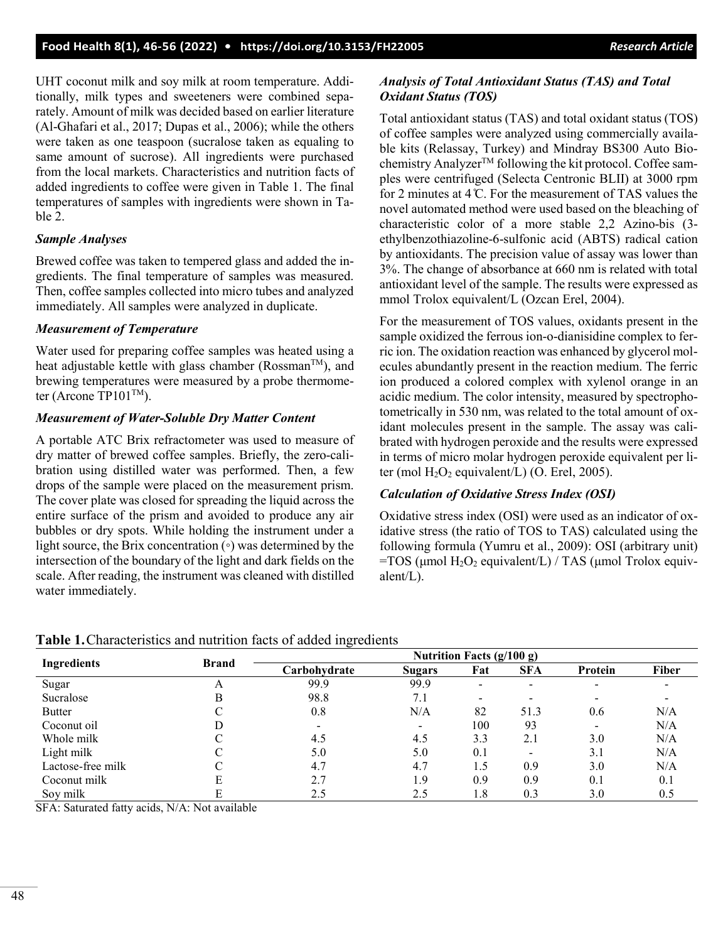UHT coconut milk and soy milk at room temperature. Additionally, milk types and sweeteners were combined separately. Amount of milk was decided based on earlier literature (Al-Ghafari et al., 2017; Dupas et al., 2006); while the others were taken as one teaspoon (sucralose taken as equaling to same amount of sucrose). All ingredients were purchased from the local markets. Characteristics and nutrition facts of added ingredients to coffee were given in Table 1. The final temperatures of samples with ingredients were shown in Table 2.

#### *Sample Analyses*

Brewed coffee was taken to tempered glass and added the ingredients. The final temperature of samples was measured. Then, coffee samples collected into micro tubes and analyzed immediately. All samples were analyzed in duplicate.

#### *Measurement of Temperature*

Water used for preparing coffee samples was heated using a heat adjustable kettle with glass chamber (Rossman<sup>TM</sup>), and brewing temperatures were measured by a probe thermometer (Arcone TP101 $\text{TM}$ ).

#### *Measurement of Water-Soluble Dry Matter Content*

A portable ATC Brix refractometer was used to measure of dry matter of brewed coffee samples. Briefly, the zero-calibration using distilled water was performed. Then, a few drops of the sample were placed on the measurement prism. The cover plate was closed for spreading the liquid across the entire surface of the prism and avoided to produce any air bubbles or dry spots. While holding the instrument under a light source, the Brix concentration (◦) was determined by the intersection of the boundary of the light and dark fields on the scale. After reading, the instrument was cleaned with distilled water immediately.

#### *Analysis of Total Antioxidant Status (TAS) and Total Oxidant Status (TOS)*

Total antioxidant status (TAS) and total oxidant status (TOS) of coffee samples were analyzed using commercially available kits (Relassay, Turkey) and Mindray BS300 Auto Biochemistry Analyzer™ following the kit protocol. Coffee samples were centrifuged (Selecta Centronic BLII) at 3000 rpm for 2 minutes at 4 ̊C. For the measurement of TAS values the novel automated method were used based on the bleaching of characteristic color of a more stable 2,2 Azino-bis (3 ethylbenzothiazoline-6-sulfonic acid (ABTS) radical cation by antioxidants. The precision value of assay was lower than 3%. The change of absorbance at 660 nm is related with total antioxidant level of the sample. The results were expressed as mmol Trolox equivalent/L (Ozcan Erel, 2004).

For the measurement of TOS values, oxidants present in the sample oxidized the ferrous ion-o-dianisidine complex to ferric ion. The oxidation reaction was enhanced by glycerol molecules abundantly present in the reaction medium. The ferric ion produced a colored complex with xylenol orange in an acidic medium. The color intensity, measured by spectrophotometrically in 530 nm, was related to the total amount of oxidant molecules present in the sample. The assay was calibrated with hydrogen peroxide and the results were expressed in terms of micro molar hydrogen peroxide equivalent per liter (mol  $H_2O_2$  equivalent/L) (O. Erel, 2005).

#### *Calculation of Oxidative Stress Index (OSI)*

Oxidative stress index (OSI) were used as an indicator of oxidative stress (the ratio of TOS to TAS) calculated using the following formula (Yumru et al., 2009): OSI (arbitrary unit) =TOS ( $\mu$ mol H<sub>2</sub>O<sub>2</sub> equivalent/L) / TAS ( $\mu$ mol Trolox equivalent/L).

|  |  |  |  |  |  |  | Table 1. Characteristics and nutrition facts of added ingredients |
|--|--|--|--|--|--|--|-------------------------------------------------------------------|
|--|--|--|--|--|--|--|-------------------------------------------------------------------|

| <b>Ingredients</b> | <b>Brand</b> | Nutrition Facts $(g/100 g)$ |                          |                          |            |                          |       |  |
|--------------------|--------------|-----------------------------|--------------------------|--------------------------|------------|--------------------------|-------|--|
|                    |              | Carbohvdrate                | <b>Sugars</b>            | Fat                      | <b>SFA</b> | Protein                  | Fiber |  |
| Sugar              | А            | 99.9                        | 99.9                     |                          |            |                          |       |  |
| Sucralose          | В            | 98.8                        | 7.1                      | $\overline{\phantom{0}}$ |            |                          |       |  |
| <b>Butter</b>      |              | 0.8                         | N/A                      | 82                       | 51.3       | 0.6                      | N/A   |  |
| Coconut oil        |              |                             | $\overline{\phantom{0}}$ | 100                      | 93         | $\overline{\phantom{0}}$ | N/A   |  |
| Whole milk         |              | 4.5                         | 4.5                      | 3.3                      | 2.1        | 3.0                      | N/A   |  |
| Light milk         |              | 5.0                         | 5.0                      | 0.1                      |            | 3.1                      | N/A   |  |
| Lactose-free milk  |              | 4.7                         | 4.7                      | 1.5                      | 0.9        | 3.0                      | N/A   |  |
| Coconut milk       | E            | 2.7                         | 1.9                      | 0.9                      | 0.9        | 0.1                      | 0.1   |  |
| Soy milk           | E            | 2.5                         | 2.5                      | 1.8                      | 0.3        | 3.0                      | 0.5   |  |

SFA: Saturated fatty acids, N/A: Not available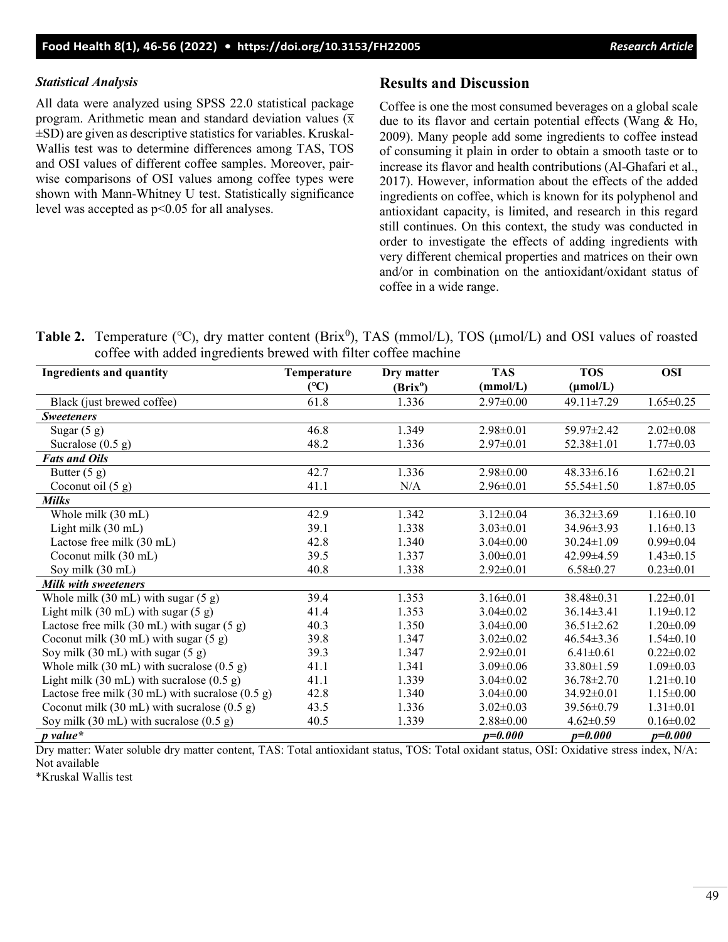## *Statistical Analysis*

All data were analyzed using SPSS 22.0 statistical package program. Arithmetic mean and standard deviation values  $(\bar{x})$  $\pm$ SD) are given as descriptive statistics for variables. Kruskal-Wallis test was to determine differences among TAS, TOS and OSI values of different coffee samples. Moreover, pairwise comparisons of OSI values among coffee types were shown with Mann-Whitney U test. Statistically significance level was accepted as p<0.05 for all analyses.

## **Results and Discussion**

Coffee is one the most consumed beverages on a global scale due to its flavor and certain potential effects (Wang & Ho, 2009). Many people add some ingredients to coffee instead of consuming it plain in order to obtain a smooth taste or to increase its flavor and health contributions (Al-Ghafari et al., 2017). However, information about the effects of the added ingredients on coffee, which is known for its polyphenol and antioxidant capacity, is limited, and research in this regard still continues. On this context, the study was conducted in order to investigate the effects of adding ingredients with very different chemical properties and matrices on their own and/or in combination on the antioxidant/oxidant status of coffee in a wide range.

Table 2. Temperature (°C), dry matter content (Brix<sup>0</sup>), TAS (mmol/L), TOS (μmol/L) and OSI values of roasted coffee with added ingredients brewed with filter coffee machine

| <b>Ingredients and quantity</b>                                      | Temperature | Dry matter           | <b>TAS</b>      | <b>TOS</b>           | <b>OSI</b>      |
|----------------------------------------------------------------------|-------------|----------------------|-----------------|----------------------|-----------------|
|                                                                      | (C)         | (Brix <sup>o</sup> ) | (mmol/L)        | $(\mu \text{mol/L})$ |                 |
| Black (just brewed coffee)                                           | 61.8        | 1.336                | $2.97 \pm 0.00$ | 49.11±7.29           | $1.65 \pm 0.25$ |
| <b>Sweeteners</b>                                                    |             |                      |                 |                      |                 |
| Sugar $(5 g)$                                                        | 46.8        | 1.349                | $2.98 \pm 0.01$ | 59.97±2.42           | $2.02 \pm 0.08$ |
| Sucralose $(0.5 g)$                                                  | 48.2        | 1.336                | $2.97 \pm 0.01$ | $52.38 \pm 1.01$     | $1.77 \pm 0.03$ |
| <b>Fats and Oils</b>                                                 |             |                      |                 |                      |                 |
| Butter $(5 g)$                                                       | 42.7        | 1.336                | $2.98 \pm 0.00$ | $48.33 \pm 6.16$     | $1.62 \pm 0.21$ |
| Coconut oil $(5 g)$                                                  | 41.1        | N/A                  | $2.96 \pm 0.01$ | $55.54 \pm 1.50$     | $1.87 \pm 0.05$ |
| Milks                                                                |             |                      |                 |                      |                 |
| Whole milk (30 mL)                                                   | 42.9        | 1.342                | $3.12 \pm 0.04$ | $36.32 \pm 3.69$     | $1.16 \pm 0.10$ |
| Light milk (30 mL)                                                   | 39.1        | 1.338                | $3.03 \pm 0.01$ | 34.96±3.93           | $1.16 \pm 0.13$ |
| Lactose free milk (30 mL)                                            | 42.8        | 1.340                | $3.04 \pm 0.00$ | $30.24 \pm 1.09$     | $0.99 \pm 0.04$ |
| Coconut milk (30 mL)                                                 | 39.5        | 1.337                | $3.00 \pm 0.01$ | 42.99±4.59           | $1.43 \pm 0.15$ |
| Soy milk (30 mL)                                                     | 40.8        | 1.338                | $2.92 \pm 0.01$ | $6.58 \pm 0.27$      | $0.23 \pm 0.01$ |
| <b>Milk with sweeteners</b>                                          |             |                      |                 |                      |                 |
| Whole milk $(30 \text{ mL})$ with sugar $(5 \text{ g})$              | 39.4        | 1.353                | $3.16 \pm 0.01$ | $38.48 \pm 0.31$     | $1.22 \pm 0.01$ |
| Light milk $(30 \text{ mL})$ with sugar $(5 \text{ g})$              | 41.4        | 1.353                | $3.04 \pm 0.02$ | $36.14 \pm 3.41$     | $1.19\pm0.12$   |
| Lactose free milk $(30 \text{ mL})$ with sugar $(5 \text{ g})$       | 40.3        | 1.350                | $3.04 \pm 0.00$ | $36.51 \pm 2.62$     | $1.20 \pm 0.09$ |
| Coconut milk $(30 \text{ mL})$ with sugar $(5 \text{ g})$            | 39.8        | 1.347                | $3.02 \pm 0.02$ | $46.54 \pm 3.36$     | $1.54 \pm 0.10$ |
| Soy milk $(30 \text{ mL})$ with sugar $(5 \text{ g})$                | 39.3        | 1.347                | $2.92 \pm 0.01$ | $6.41 \pm 0.61$      | $0.22 \pm 0.02$ |
| Whole milk $(30 \text{ mL})$ with sucralose $(0.5 \text{ g})$        | 41.1        | 1.341                | $3.09 \pm 0.06$ | $33.80 \pm 1.59$     | $1.09 \pm 0.03$ |
| Light milk (30 mL) with sucralose $(0.5 g)$                          | 41.1        | 1.339                | $3.04\pm0.02$   | $36.78 \pm 2.70$     | $1.21 \pm 0.10$ |
| Lactose free milk $(30 \text{ mL})$ with sucralose $(0.5 \text{ g})$ | 42.8        | 1.340                | $3.04 \pm 0.00$ | $34.92 \pm 0.01$     | $1.15 \pm 0.00$ |
| Coconut milk (30 mL) with sucralose $(0.5 g)$                        | 43.5        | 1.336                | $3.02 \pm 0.03$ | $39.56 \pm 0.79$     | $1.31 \pm 0.01$ |
| Soy milk $(30 \text{ mL})$ with sucralose $(0.5 \text{ g})$          | 40.5        | 1.339                | $2.88 \pm 0.00$ | $4.62 \pm 0.59$      | $0.16 \pm 0.02$ |
| $p$ value*                                                           |             |                      | $p=0.000$       | $p=0.000$            | $p=0.000$       |

Dry matter: Water soluble dry matter content, TAS: Total antioxidant status, TOS: Total oxidant status, OSI: Oxidative stress index, N/A: Not available

\*Kruskal Wallis test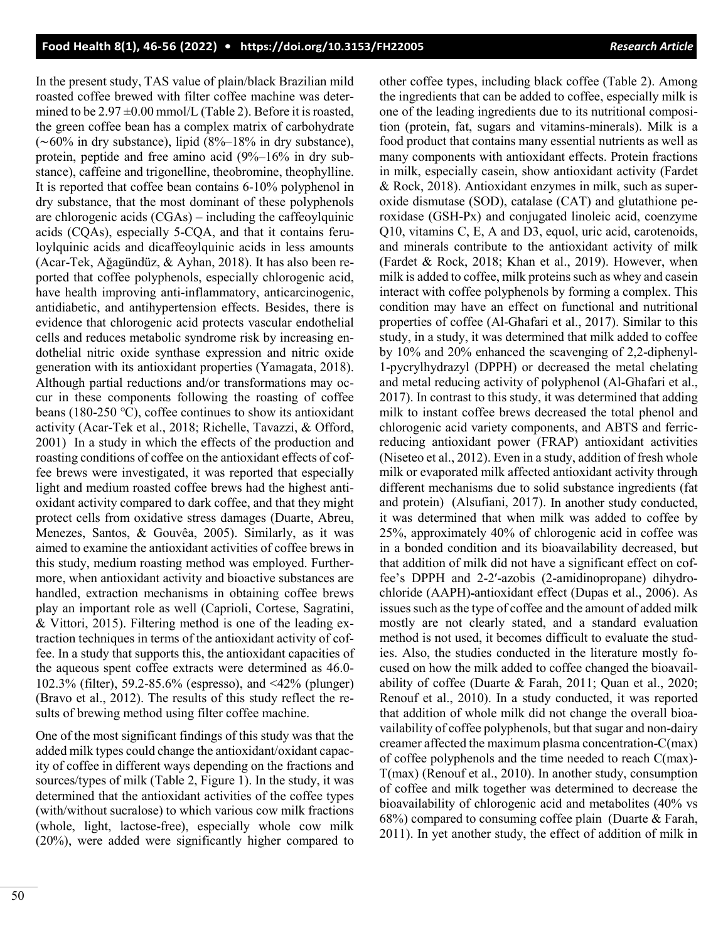In the present study, TAS value of plain/black Brazilian mild roasted coffee brewed with filter coffee machine was determined to be  $2.97 \pm 0.00$  mmol/L (Table 2). Before it is roasted, the green coffee bean has a complex matrix of carbohydrate (∼60% in dry substance), lipid (8%–18% in dry substance), protein, peptide and free amino acid (9%–16% in dry substance), caffeine and trigonelline, theobromine, theophylline. It is reported that coffee bean contains 6-10% polyphenol in dry substance, that the most dominant of these polyphenols are chlorogenic acids (CGAs) – including the caffeoylquinic acids (CQAs), especially 5-CQA, and that it contains feruloylquinic acids and dicaffeoylquinic acids in less amounts (Acar-Tek, Aǧagündüz, & Ayhan, 2018). It has also been reported that coffee polyphenols, especially chlorogenic acid, have health improving anti-inflammatory, anticarcinogenic, antidiabetic, and antihypertension effects. Besides, there is evidence that chlorogenic acid protects vascular endothelial cells and reduces metabolic syndrome risk by increasing endothelial nitric oxide synthase expression and nitric oxide generation with its antioxidant properties (Yamagata, 2018). Although partial reductions and/or transformations may occur in these components following the roasting of coffee beans (180-250 ℃), coffee continues to show its antioxidant activity (Acar-Tek et al., 2018; Richelle, Tavazzi, & Offord, 2001)In a study in which the effects of the production and roasting conditions of coffee on the antioxidant effects of coffee brews were investigated, it was reported that especially light and medium roasted coffee brews had the highest antioxidant activity compared to dark coffee, and that they might protect cells from oxidative stress damages (Duarte, Abreu, Menezes, Santos, & Gouvêa, 2005). Similarly, as it was aimed to examine the antioxidant activities of coffee brews in this study, medium roasting method was employed. Furthermore, when antioxidant activity and bioactive substances are handled, extraction mechanisms in obtaining coffee brews play an important role as well (Caprioli, Cortese, Sagratini, & Vittori, 2015). Filtering method is one of the leading extraction techniques in terms of the antioxidant activity of coffee. In a study that supports this, the antioxidant capacities of the aqueous spent coffee extracts were determined as 46.0- 102.3% (filter), 59.2-85.6% (espresso), and <42% (plunger) (Bravo et al., 2012). The results of this study reflect the results of brewing method using filter coffee machine.

One of the most significant findings of this study was that the added milk types could change the antioxidant/oxidant capacity of coffee in different ways depending on the fractions and sources/types of milk (Table 2, Figure 1). In the study, it was determined that the antioxidant activities of the coffee types (with/without sucralose) to which various cow milk fractions (whole, light, lactose-free), especially whole cow milk (20%), were added were significantly higher compared to other coffee types, including black coffee (Table 2). Among the ingredients that can be added to coffee, especially milk is one of the leading ingredients due to its nutritional composition (protein, fat, sugars and vitamins-minerals). Milk is a food product that contains many essential nutrients as well as many components with antioxidant effects. Protein fractions in milk, especially casein, show antioxidant activity (Fardet & Rock, 2018). Antioxidant enzymes in milk, such as superoxide dismutase (SOD), catalase (CAT) and glutathione peroxidase (GSH-Px) and conjugated linoleic acid, coenzyme Q10, vitamins C, E, A and D3, equol, uric acid, carotenoids, and minerals contribute to the antioxidant activity of milk (Fardet & Rock, 2018; Khan et al., 2019). However, when milk is added to coffee, milk proteins such as whey and casein interact with coffee polyphenols by forming a complex. This condition may have an effect on functional and nutritional properties of coffee (Al-Ghafari et al., 2017). Similar to this study, in a study, it was determined that milk added to coffee by 10% and 20% enhanced the scavenging of 2,2-diphenyl-1-pycrylhydrazyl (DPPH) or decreased the metal chelating and metal reducing activity of polyphenol (Al-Ghafari et al., 2017). In contrast to this study, it was determined that adding milk to instant coffee brews decreased the total phenol and chlorogenic acid variety components, and ABTS and ferricreducing antioxidant power (FRAP) antioxidant activities (Niseteo et al., 2012). Even in a study, addition of fresh whole milk or evaporated milk affected antioxidant activity through different mechanisms due to solid substance ingredients (fat and protein) (Alsufiani, 2017). In another study conducted, it was determined that when milk was added to coffee by 25%, approximately 40% of chlorogenic acid in coffee was in a bonded condition and its bioavailability decreased, but that addition of milk did not have a significant effect on coffee's DPPH and 2-2′-azobis (2-amidinopropane) dihydrochloride (AAPH) antioxidant effect (Dupas et al., 2006). As issues such as the type of coffee and the amount of added milk mostly are not clearly stated, and a standard evaluation method is not used, it becomes difficult to evaluate the studies. Also, the studies conducted in the literature mostly focused on how the milk added to coffee changed the bioavailability of coffee (Duarte & Farah, 2011; Quan et al., 2020; Renouf et al., 2010). In a study conducted, it was reported that addition of whole milk did not change the overall bioavailability of coffee polyphenols, but that sugar and non-dairy creamer affected the maximum plasma concentration-C(max) of coffee polyphenols and the time needed to reach C(max)- T(max) (Renouf et al., 2010). In another study, consumption of coffee and milk together was determined to decrease the bioavailability of chlorogenic acid and metabolites (40% vs 68%) compared to consuming coffee plain (Duarte & Farah, 2011). In yet another study, the effect of addition of milk in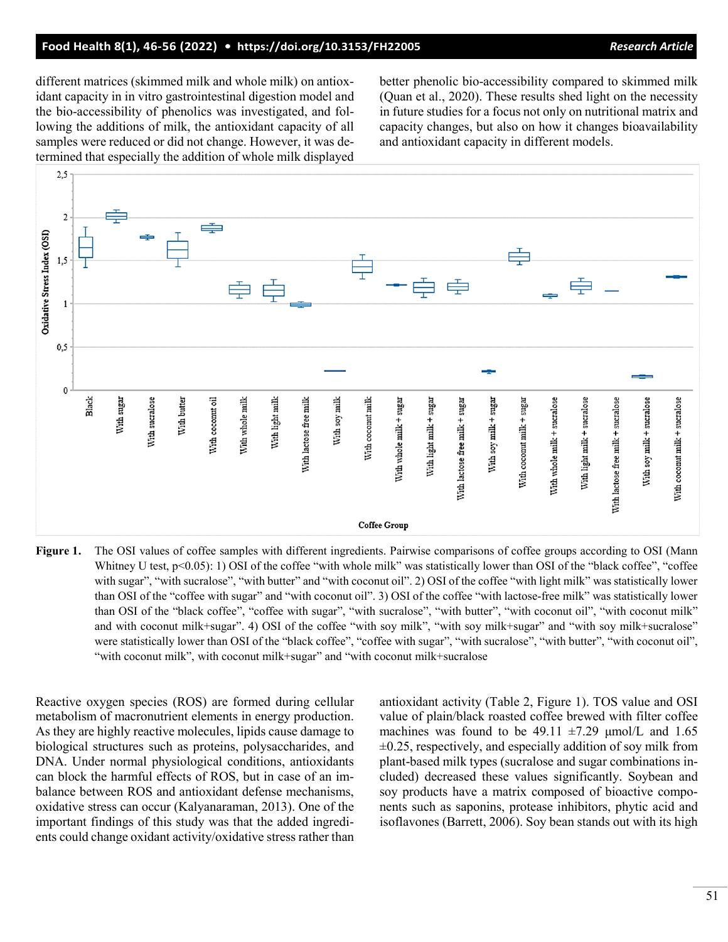different matrices (skimmed milk and whole milk) on antioxidant capacity in in vitro gastrointestinal digestion model and the bio-accessibility of phenolics was investigated, and following the additions of milk, the antioxidant capacity of all samples were reduced or did not change. However, it was determined that especially the addition of whole milk displayed better phenolic bio-accessibility compared to skimmed milk (Quan et al., 2020). These results shed light on the necessity in future studies for a focus not only on nutritional matrix and capacity changes, but also on how it changes bioavailability and antioxidant capacity in different models.



**Figure 1.** The OSI values of coffee samples with different ingredients. Pairwise comparisons of coffee groups according to OSI (Mann Whitney U test, p<0.05): 1) OSI of the coffee "with whole milk" was statistically lower than OSI of the "black coffee", "coffee with sugar", "with sucralose", "with butter" and "with coconut oil". 2) OSI of the coffee "with light milk" was statistically lower than OSI of the "coffee with sugar" and "with coconut oil". 3) OSI of the coffee "with lactose-free milk" was statistically lower than OSI of the "black coffee", "coffee with sugar", "with sucralose", "with butter", "with coconut oil", "with coconut milk" and with coconut milk+sugar". 4) OSI of the coffee "with soy milk", "with soy milk+sugar" and "with soy milk+sucralose" were statistically lower than OSI of the "black coffee", "coffee with sugar", "with sucralose", "with butter", "with coconut oil", "with coconut milk", with coconut milk+sugar" and "with coconut milk+sucralose

Reactive oxygen species (ROS) are formed during cellular metabolism of macronutrient elements in energy production. As they are highly reactive molecules, lipids cause damage to biological structures such as proteins, polysaccharides, and DNA. Under normal physiological conditions, antioxidants can block the harmful effects of ROS, but in case of an imbalance between ROS and antioxidant defense mechanisms, oxidative stress can occur (Kalyanaraman, 2013). One of the important findings of this study was that the added ingredients could change oxidant activity/oxidative stress rather than antioxidant activity (Table 2, Figure 1). TOS value and OSI value of plain/black roasted coffee brewed with filter coffee machines was found to be 49.11  $\pm$ 7.29  $\mu$ mol/L and 1.65  $\pm 0.25$ , respectively, and especially addition of soy milk from plant-based milk types (sucralose and sugar combinations included) decreased these values significantly. Soybean and soy products have a matrix composed of bioactive components such as saponins, protease inhibitors, phytic acid and isoflavones (Barrett, 2006). Soy bean stands out with its high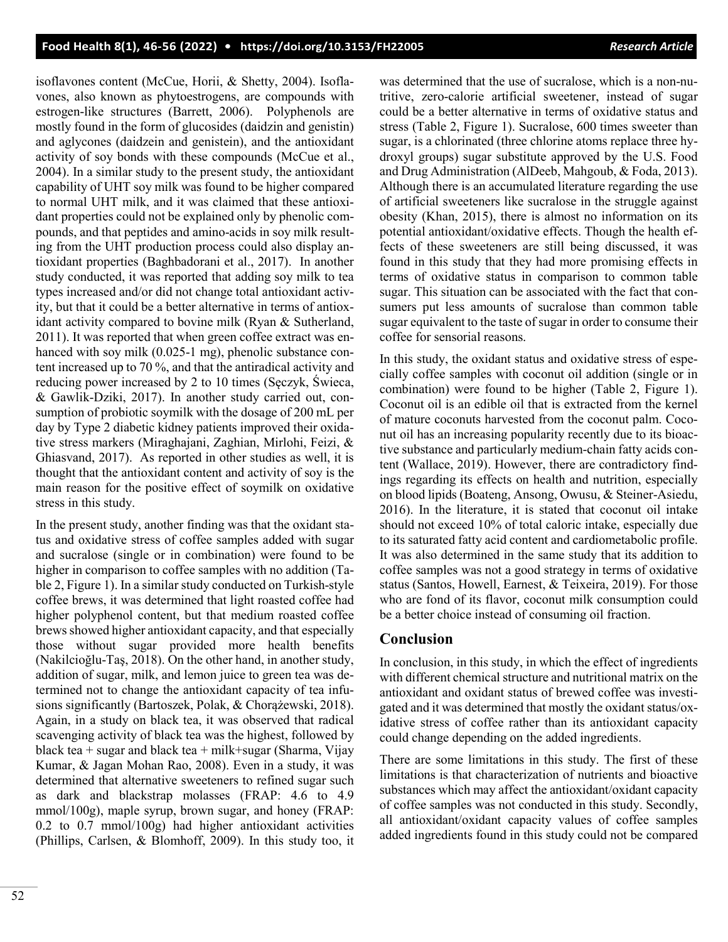isoflavones content (McCue, Horii, & Shetty, 2004). Isoflavones, also known as phytoestrogens, are compounds with estrogen-like structures (Barrett, 2006). Polyphenols are mostly found in the form of glucosides (daidzin and genistin) and aglycones (daidzein and genistein), and the antioxidant activity of soy bonds with these compounds (McCue et al., 2004). In a similar study to the present study, the antioxidant capability of UHT soy milk was found to be higher compared to normal UHT milk, and it was claimed that these antioxidant properties could not be explained only by phenolic compounds, and that peptides and amino-acids in soy milk resulting from the UHT production process could also display antioxidant properties (Baghbadorani et al., 2017). In another study conducted, it was reported that adding soy milk to tea types increased and/or did not change total antioxidant activity, but that it could be a better alternative in terms of antioxidant activity compared to bovine milk (Ryan & Sutherland, 2011). It was reported that when green coffee extract was enhanced with soy milk (0.025-1 mg), phenolic substance content increased up to 70 %, and that the antiradical activity and reducing power increased by 2 to 10 times (Sęczyk, Świeca, & Gawlik-Dziki, 2017). In another study carried out, consumption of probiotic soymilk with the dosage of 200 mL per day by Type 2 diabetic kidney patients improved their oxidative stress markers (Miraghajani, Zaghian, Mirlohi, Feizi, & Ghiasvand, 2017). As reported in other studies as well, it is thought that the antioxidant content and activity of soy is the main reason for the positive effect of soymilk on oxidative stress in this study.

In the present study, another finding was that the oxidant status and oxidative stress of coffee samples added with sugar and sucralose (single or in combination) were found to be higher in comparison to coffee samples with no addition (Table 2, Figure 1). In a similar study conducted on Turkish-style coffee brews, it was determined that light roasted coffee had higher polyphenol content, but that medium roasted coffee brews showed higher antioxidant capacity, and that especially those without sugar provided more health benefits (Nakilcioğlu-Taş, 2018). On the other hand, in another study, addition of sugar, milk, and lemon juice to green tea was determined not to change the antioxidant capacity of tea infusions significantly (Bartoszek, Polak, & Chorążewski, 2018). Again, in a study on black tea, it was observed that radical scavenging activity of black tea was the highest, followed by black tea + sugar and black tea + milk+sugar (Sharma, Vijay Kumar, & Jagan Mohan Rao, 2008). Even in a study, it was determined that alternative sweeteners to refined sugar such as dark and blackstrap molasses (FRAP: 4.6 to 4.9 mmol/100g), maple syrup, brown sugar, and honey (FRAP: 0.2 to 0.7 mmol/100g) had higher antioxidant activities (Phillips, Carlsen, & Blomhoff, 2009). In this study too, it was determined that the use of sucralose, which is a non-nutritive, zero-calorie artificial sweetener, instead of sugar could be a better alternative in terms of oxidative status and stress (Table 2, Figure 1). Sucralose, 600 times sweeter than sugar, is a chlorinated (three chlorine atoms replace three hydroxyl groups) sugar substitute approved by the U.S. Food and Drug Administration (AlDeeb, Mahgoub, & Foda, 2013). Although there is an accumulated literature regarding the use of artificial sweeteners like sucralose in the struggle against obesity (Khan, 2015), there is almost no information on its potential antioxidant/oxidative effects. Though the health effects of these sweeteners are still being discussed, it was found in this study that they had more promising effects in terms of oxidative status in comparison to common table sugar. This situation can be associated with the fact that consumers put less amounts of sucralose than common table sugar equivalent to the taste of sugar in order to consume their coffee for sensorial reasons.

In this study, the oxidant status and oxidative stress of especially coffee samples with coconut oil addition (single or in combination) were found to be higher (Table 2, Figure 1). Coconut oil is an edible oil that is extracted from the kernel of mature coconuts harvested from the coconut palm. Coconut oil has an increasing popularity recently due to its bioactive substance and particularly medium-chain fatty acids content (Wallace, 2019). However, there are contradictory findings regarding its effects on health and nutrition, especially on blood lipids (Boateng, Ansong, Owusu, & Steiner-Asiedu, 2016). In the literature, it is stated that coconut oil intake should not exceed 10% of total caloric intake, especially due to its saturated fatty acid content and cardiometabolic profile. It was also determined in the same study that its addition to coffee samples was not a good strategy in terms of oxidative status (Santos, Howell, Earnest, & Teixeira, 2019). For those who are fond of its flavor, coconut milk consumption could be a better choice instead of consuming oil fraction.

# **Conclusion**

In conclusion, in this study, in which the effect of ingredients with different chemical structure and nutritional matrix on the antioxidant and oxidant status of brewed coffee was investigated and it was determined that mostly the oxidant status/oxidative stress of coffee rather than its antioxidant capacity could change depending on the added ingredients.

There are some limitations in this study. The first of these limitations is that characterization of nutrients and bioactive substances which may affect the antioxidant/oxidant capacity of coffee samples was not conducted in this study. Secondly, all antioxidant/oxidant capacity values of coffee samples added ingredients found in this study could not be compared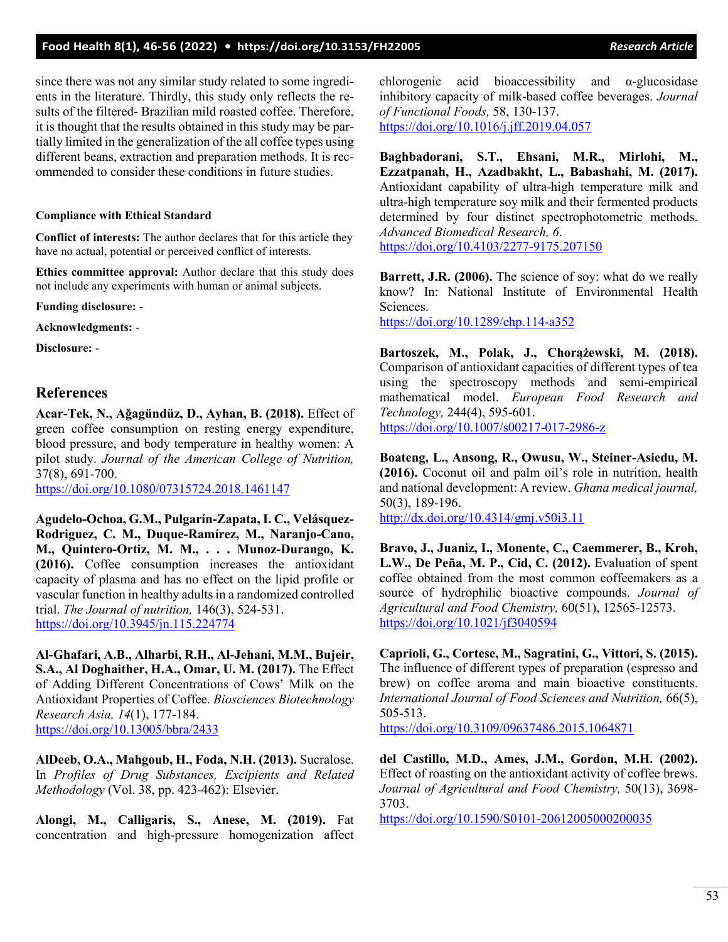## **Food Health 8(1), 46-56 (2022) • <https://doi.org/10.3153/FH22005>***Research Article*

since there was not any similar study related to some ingredients in the literature. Thirdly, this study only reflects the results of the filtered- Brazilian mild roasted coffee. Therefore, it is thought that the results obtained in this study may be partially limited in the generalization of the all coffee types using different beans, extraction and preparation methods. It is recommended to consider these conditions in future studies.

#### **Compliance with Ethical Standard**

**Conflict of interests:** The author declares that for this article they have no actual, potential or perceived conflict of interests.

**Ethics committee approval:** Author declare that this study does not include any experiments with human or animal subjects.

**Funding disclosure:** -

**Acknowledgments:** -

**Disclosure:** -

## **References**

**Acar-Tek, N., Aǧagündüz, D., Ayhan, B. (2018).** Effect of green coffee consumption on resting energy expenditure, blood pressure, and body temperature in healthy women: A pilot study. *Journal of the American College of Nutrition,*  37(8), 691-700.

<https://doi.org/10.1080/07315724.2018.1461147>

**Agudelo-Ochoa, G.M., Pulgarín-Zapata, I. C., Velásquez-Rodriguez, C. M., Duque-Ramírez, M., Naranjo-Cano, M., Quintero-Ortiz, M. M., . . . Munoz-Durango, K. (2016).** Coffee consumption increases the antioxidant capacity of plasma and has no effect on the lipid profile or vascular function in healthy adults in a randomized controlled trial. *The Journal of nutrition,* 146(3), 524-531. <https://doi.org/10.3945/jn.115.224774>

**Al-Ghafari, A.B., Alharbi, R.H., Al-Jehani, M.M., Bujeir, S.A., Al Doghaither, H.A., Omar, U. M. (2017).** The Effect of Adding Different Concentrations of Cows' Milk on the Antioxidant Properties of Coffee. *Biosciences Biotechnology Research Asia, 14*(1), 177-184. <https://doi.org/10.13005/bbra/2433>

**AlDeeb, O.A., Mahgoub, H., Foda, N.H. (2013).** Sucralose. In *Profiles of Drug Substances, Excipients and Related Methodology* (Vol. 38, pp. 423-462): Elsevier.

**Alongi, M., Calligaris, S., Anese, M. (2019).** Fat concentration and high-pressure homogenization affect

chlorogenic acid bioaccessibility and α-glucosidase inhibitory capacity of milk-based coffee beverages. *Journal of Functional Foods,* 58, 130-137.

<https://doi.org/10.1016/j.jff.2019.04.057>

**Baghbadorani, S.T., Ehsani, M.R., Mirlohi, M., Ezzatpanah, H., Azadbakht, L., Babashahi, M. (2017).**  Antioxidant capability of ultra-high temperature milk and ultra-high temperature soy milk and their fermented products determined by four distinct spectrophotometric methods. *Advanced Biomedical Research, 6*. [https://doi.org/10.4103/2277](https://doi.org/10.4103/2277-9175.207150)-9175.207150

**Barrett, J.R. (2006).** The science of soy: what do we really know? In: National Institute of Environmental Health Sciences.

[https://doi.org/10.1289/ehp.114](https://doi.org/10.1289/ehp.114-a352)-a352

**Bartoszek, M., Polak, J., Chorążewski, M. (2018).** Comparison of antioxidant capacities of different types of tea using the spectroscopy methods and semi-empirical mathematical model. *European Food Research and Technology,* 244(4), 595-601. [https://doi.org/10.1007/s00217](https://doi.org/10.1007/s00217-017-2986-z)-017-2986-z

**Boateng, L., Ansong, R., Owusu, W., Steiner-Asiedu, M. (2016).** Coconut oil and palm oil's role in nutrition, health and national development: A review. *Ghana medical journal,*  50(3), 189-196.

<http://dx.doi.org/10.4314/gmj.v50i3.11>

**Bravo, J., Juaniz, I., Monente, C., Caemmerer, B., Kroh, L.W., De Peña, M. P., Cid, C. (2012).** Evaluation of spent coffee obtained from the most common coffeemakers as a source of hydrophilic bioactive compounds. *Journal of Agricultural and Food Chemistry,* 60(51), 12565-12573. <https://doi.org/10.1021/jf3040594>

**Caprioli, G., Cortese, M., Sagratini, G., Vittori, S. (2015).** The influence of different types of preparation (espresso and brew) on coffee aroma and main bioactive constituents. *International Journal of Food Sciences and Nutrition,* 66(5), 505-513.

<https://doi.org/10.3109/09637486.2015.1064871>

**del Castillo, M.D., Ames, J.M., Gordon, M.H. (2002).** Effect of roasting on the antioxidant activity of coffee brews. *Journal of Agricultural and Food Chemistry,* 50(13), 3698- 3703.

[https://doi.org/10.1590/S0101](https://doi.org/10.1590/S0101-20612005000200035)-20612005000200035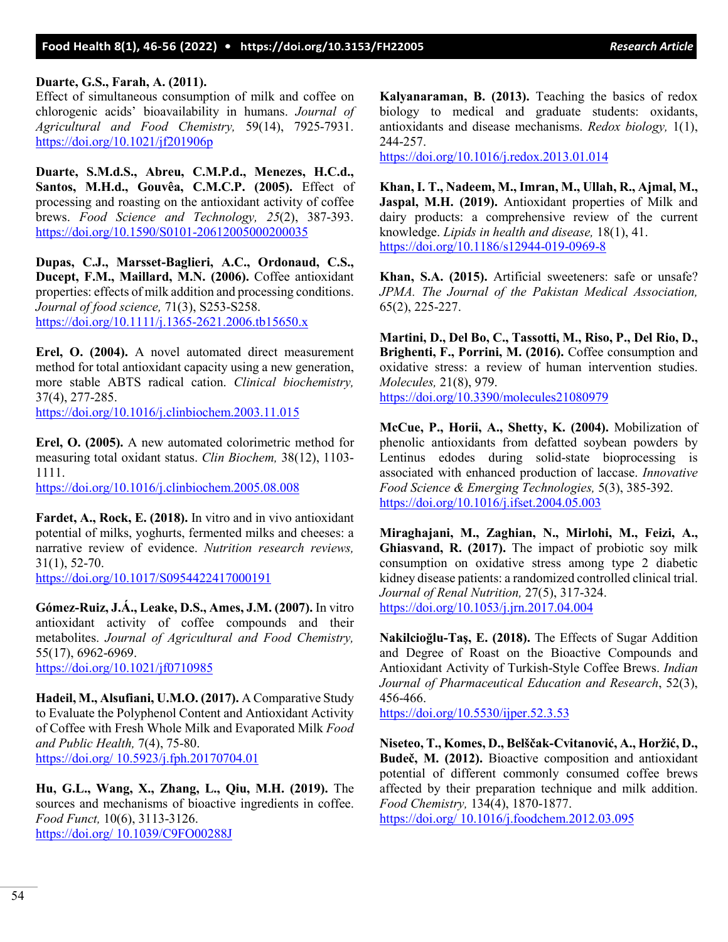#### **Duarte, G.S., Farah, A. (2011).**

Effect of simultaneous consumption of milk and coffee on chlorogenic acids' bioavailability in humans. *Journal of Agricultural and Food Chemistry,* 59(14), 7925-7931. <https://doi.org/10.1021/jf201906p>

**Duarte, S.M.d.S., Abreu, C.M.P.d., Menezes, H.C.d., Santos, M.H.d., Gouvêa, C.M.C.P. (2005).** Effect of processing and roasting on the antioxidant activity of coffee brews. *Food Science and Technology, 25*(2), 387-393. [https://doi.org/10.1590/S01](https://doi.org/10.1590/S0101-20612005000200035)01-20612005000200035

**Dupas, C.J., Marsset‐Baglieri, A.C., Ordonaud, C.S., Ducept, F.M., Maillard, M.N. (2006).** Coffee antioxidant properties: effects of milk addition and processing conditions. *Journal of food science,* 71(3), S253-S258. [https://doi.org/10.1111/j.1365](https://doi.org/10.1111/j.1365-2621.2006.tb15650.x)-2621.2006.tb15650.x

**Erel, O. (2004).** A novel automated direct measurement method for total antioxidant capacity using a new generation, more stable ABTS radical cation. *Clinical biochemistry,*  37(4), 277-285.

<https://doi.org/10.1016/j.clinbiochem.2003.11.015>

**Erel, O. (2005).** A new automated colorimetric method for measuring total oxidant status. *Clin Biochem,* 38(12), 1103- 1111.

<https://doi.org/10.1016/j.clinbiochem.2005.08.008>

**Fardet, A., Rock, E. (2018).** In vitro and in vivo antioxidant potential of milks, yoghurts, fermented milks and cheeses: a narrative review of evidence. *Nutrition research reviews,*  31(1), 52-70.

<https://doi.org/10.1017/S0954422417000191>

**Gómez-Ruiz, J.Á., Leake, D.S., Ames, J.M. (2007).** In vitro antioxidant activity of coffee compounds and their metabolites. *Journal of Agricultural and Food Chemistry,*  55(17), 6962-6969. <https://doi.org/10.1021/jf0710985>

**Hadeil, M., Alsufiani, U.M.O. (2017).** A Comparative Study to Evaluate the Polyphenol Content and Antioxidant Activity of Coffee with Fresh Whole Milk and Evaporated Milk *Food and Public Health,* 7(4), 75-80. [https://doi.org/ 10.5923/j.fph.20170704.01](https://doi.org/%2010.5923/j.fph.20170704.01)

**Hu, G.L., Wang, X., Zhang, L., Qiu, M.H. (2019).** The sources and mechanisms of bioactive ingredients in coffee. *Food Funct,* 10(6), 3113-3126. [https://doi.org/ 10.1039/C9FO00288J](https://doi.org/%2010.1039/C9FO00288J)

**Kalyanaraman, B. (2013).** Teaching the basics of redox biology to medical and graduate students: oxidants, antioxidants and disease mechanisms. *Redox biology,* 1(1), 244-257.

<https://doi.org/10.1016/j.redox.2013.01.014>

**Khan, I. T., Nadeem, M., Imran, M., Ullah, R., Ajmal, M., Jaspal, M.H. (2019).** Antioxidant properties of Milk and dairy products: a comprehensive review of the current knowledge. *Lipids in health and disease,* 18(1), 41. [https://doi.org/10.1186/s12944](https://doi.org/10.1186/s12944-019-0969-8)-019-0969-8

**Khan, S.A. (2015).** Artificial sweeteners: safe or unsafe? *JPMA. The Journal of the Pakistan Medical Association,*  65(2), 225-227.

**Martini, D., Del Bo, C., Tassotti, M., Riso, P., Del Rio, D., Brighenti, F., Porrini, M. (2016).** Coffee consumption and oxidative stress: a review of human intervention studies. *Molecules,* 21(8), 979. <https://doi.org/10.3390/molecules21080979>

**McCue, P., Horii, A., Shetty, K. (2004).** Mobilization of phenolic antioxidants from defatted soybean powders by Lentinus edodes during solid-state bioprocessing is associated with enhanced production of laccase. *Innovative Food Science & Emerging Technologies,* 5(3), 385-392. <https://doi.org/10.1016/j.ifset.2004.05.003>

**Miraghajani, M., Zaghian, N., Mirlohi, M., Feizi, A., Ghiasvand, R. (2017).** The impact of probiotic soy milk consumption on oxidative stress among type 2 diabetic kidney disease patients: a randomized controlled clinical trial. *Journal of Renal Nutrition,* 27(5), 317-324. <https://doi.org/10.1053/j.jrn.2017.04.004>

**Nakilcioğlu-Taş, E. (2018).** The Effects of Sugar Addition and Degree of Roast on the Bioactive Compounds and Antioxidant Activity of Turkish-Style Coffee Brews. *Indian Journal of Pharmaceutical Education and Research*, 52(3), 456-466.

<https://doi.org/10.5530/ijper.52.3.53>

**Niseteo, T., Komes, D., Belščak-Cvitanović, A., Horžić, D., Budeč, M. (2012).** Bioactive composition and antioxidant potential of different commonly consumed coffee brews affected by their preparation technique and milk addition. *Food Chemistry,* 134(4), 1870-1877.

[https://doi.org/ 10.1016/j.foodchem.2012.03.095](https://doi.org/%2010.1016/j.foodchem.2012.03.095)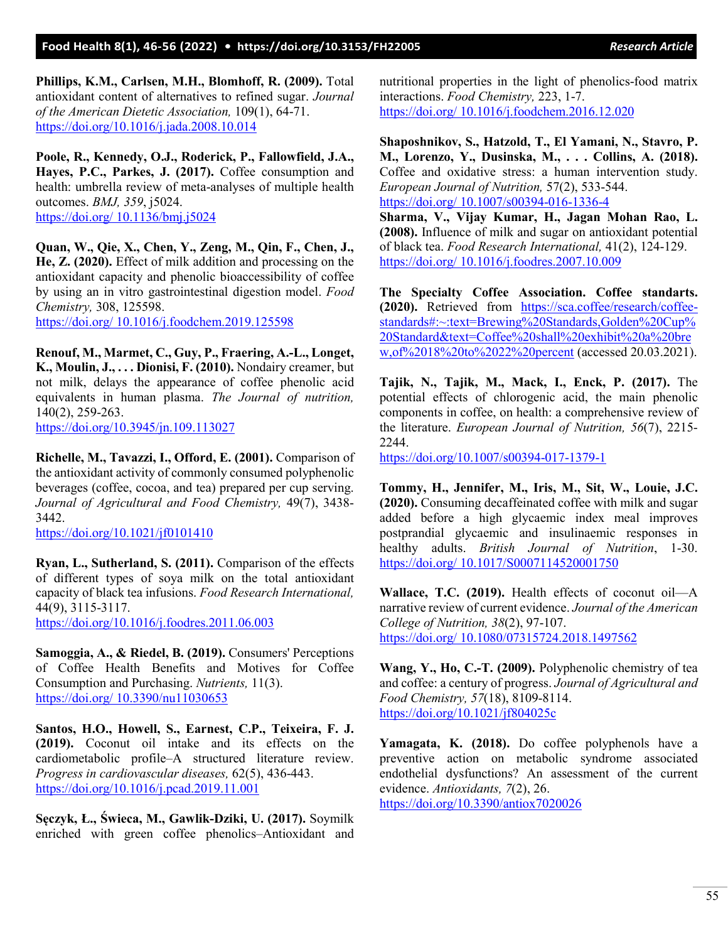**Phillips, K.M., Carlsen, M.H., Blomhoff, R. (2009).** Total antioxidant content of alternatives to refined sugar. *Journal of the American Dietetic Association,* 109(1), 64-71. <https://doi.org/10.1016/j.jada.2008.10.014>

**Poole, R., Kennedy, O.J., Roderick, P., Fallowfield, J.A., Hayes, P.C., Parkes, J. (2017).** Coffee consumption and health: umbrella review of meta-analyses of multiple health outcomes. *BMJ, 359*, j5024. [https://doi.org/ 10.1136/bmj.j5024](https://doi.org/%2010.1136/bmj.j5024)

**Quan, W., Qie, X., Chen, Y., Zeng, M., Qin, F., Chen, J., He, Z. (2020).** Effect of milk addition and processing on the antioxidant capacity and phenolic bioaccessibility of coffee by using an in vitro gastrointestinal digestion model. *Food Chemistry,* 308, 125598.

[https://doi.org/ 10.1016/j.foodchem.2019.125598](https://doi.org/%2010.1016/j.foodchem.2019.125598)

**Renouf, M., Marmet, C., Guy, P., Fraering, A.-L., Longet, K., Moulin, J., . . . Dionisi, F. (2010).** Nondairy creamer, but not milk, delays the appearance of coffee phenolic acid equivalents in human plasma. *The Journal of nutrition,*  140(2), 259-263.

<https://doi.org/10.3945/jn.109.113027>

**Richelle, M., Tavazzi, I., Offord, E. (2001).** Comparison of the antioxidant activity of commonly consumed polyphenolic beverages (coffee, cocoa, and tea) prepared per cup serving. *Journal of Agricultural and Food Chemistry,* 49(7), 3438- 3442.

<https://doi.org/10.1021/jf0101410>

**Ryan, L., Sutherland, S. (2011).** Comparison of the effects of different types of soya milk on the total antioxidant capacity of black tea infusions. *Food Research International,*  44(9), 3115-3117.

<https://doi.org/10.1016/j.foodres.2011.06.003>

**Samoggia, A., & Riedel, B. (2019).** Consumers' Perceptions of Coffee Health Benefits and Motives for Coffee Consumption and Purchasing. *Nutrients,* 11(3). [https://doi.org/ 10.3390/nu11030653](https://doi.org/%2010.3390/nu11030653)

**Santos, H.O., Howell, S., Earnest, C.P., Teixeira, F. J. (2019).** Coconut oil intake and its effects on the cardiometabolic profile–A structured literature review. *Progress in cardiovascular diseases,* 62(5), 436-443. <https://doi.org/10.1016/j.pcad.2019.11.001>

**Sęczyk, Ł., Świeca, M., Gawlik-Dziki, U. (2017).** Soymilk enriched with green coffee phenolics–Antioxidant and nutritional properties in the light of phenolics-food matrix interactions. *Food Chemistry,* 223, 1-7. [https://doi.org/ 10.1016/j.foodchem.2016.12.020](https://doi.org/%2010.1016/j.foodchem.2016.12.020)

**Shaposhnikov, S., Hatzold, T., El Yamani, N., Stavro, P. M., Lorenzo, Y., Dusinska, M., . . . Collins, A. (2018).**  Coffee and oxidative stress: a human intervention study. *European Journal of Nutrition,* 57(2), 533-544. [https://doi.org/ 10.1007/s00394](https://doi.org/%2010.1007/s00394-016-1336-4)-016-1336-4

**Sharma, V., Vijay Kumar, H., Jagan Mohan Rao, L. (2008).** Influence of milk and sugar on antioxidant potential of black tea. *Food Research International,* 41(2), 124-129. [https://doi.org/ 10.1016/j.foodres.2007.10.009](https://doi.org/%2010.1016/j.foodres.2007.10.009)

**The Specialty Coffee Association. Coffee standarts. (2020).** Retrieved from [https://sca.coffee/research/coffee](https://sca.coffee/research/coffee-standards#:%7E:text=Brewing%20Standards,Golden%20Cup%20Standard&text=Coffee%20shall%20exhibit%20a%20brew,of%2018%20to%2022%20percent)[standards#:~:text=Brewing%20Standards,Golden%20Cup%](https://sca.coffee/research/coffee-standards#:%7E:text=Brewing%20Standards,Golden%20Cup%20Standard&text=Coffee%20shall%20exhibit%20a%20brew,of%2018%20to%2022%20percent) [20Standard&text=Coffee%20shall%20exhibit%20a%20b](https://sca.coffee/research/coffee-standards#:%7E:text=Brewing%20Standards,Golden%20Cup%20Standard&text=Coffee%20shall%20exhibit%20a%20brew,of%2018%20to%2022%20percent)re w, of %2018%20to %2022%20 percent (accessed 20.03.2021).

**Tajik, N., Tajik, M., Mack, I., Enck, P. (2017).** The potential effects of chlorogenic acid, the main phenolic components in coffee, on health: a comprehensive review of the literature. *European Journal of Nutrition, 56*(7), 2215- 2244.

[https://doi.org/10.1007/s00394](https://doi.org/10.1007/s00394-017-1379-1)-017-1379-1

**Tommy, H., Jennifer, M., Iris, M., Sit, W., Louie, J.C. (2020).** Consuming decaffeinated coffee with milk and sugar added before a high glycaemic index meal improves postprandial glycaemic and insulinaemic responses in healthy adults. *British Journal of Nutrition*, 1-30. [https://doi.org/ 10.1017/S0007114520001750](https://doi.org/%2010.1017/S0007114520001750)

**Wallace, T.C. (2019).** Health effects of coconut oil—A narrative review of current evidence. *Journal of the American College of Nutrition, 38*(2), 97-107. [https://doi.org/ 10.1080/07315724.2018.1497562](https://doi.org/%2010.1080/07315724.2018.1497562)

**Wang, Y., Ho, C.-T. (2009).** Polyphenolic chemistry of tea and coffee: a century of progress. *Journal of Agricultural and Food Chemistry, 57*(18), 8109-8114. <https://doi.org/10.1021/jf804025c>

**Yamagata, K. (2018).** Do coffee polyphenols have a preventive action on metabolic syndrome associated endothelial dysfunctions? An assessment of the current evidence. *Antioxidants, 7*(2), 26.

<https://doi.org/10.3390/antiox7020026>